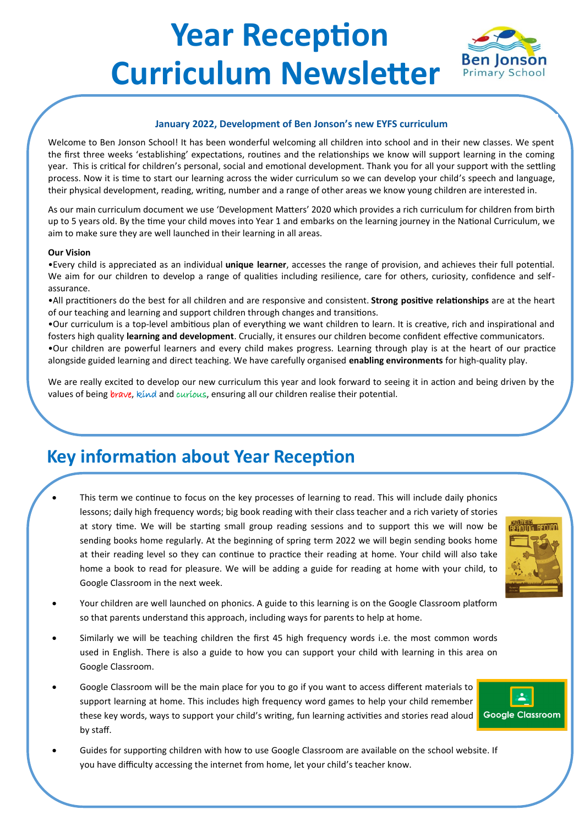# **Year Reception Curriculum Newsletter**

### **January 2022, Development of Ben Jonson's new EYFS curriculum**

Welcome to Ben Jonson School! It has been wonderful welcoming all children into school and in their new classes. We spent the first three weeks 'establishing' expectations, routines and the relationships we know will support learning in the coming year. This is critical for children's personal, social and emotional development. Thank you for all your support with the settling process. Now it is time to start our learning across the wider curriculum so we can develop your child's speech and language, their physical development, reading, writing, number and a range of other areas we know young children are interested in.

As our main curriculum document we use 'Development Matters' 2020 which provides a rich curriculum for children from birth up to 5 years old. By the time your child moves into Year 1 and embarks on the learning journey in the National Curriculum, we aim to make sure they are well launched in their learning in all areas.

#### **Our Vision**

•Every child is appreciated as an individual **unique learner**, accesses the range of provision, and achieves their full potential. We aim for our children to develop a range of qualities including resilience, care for others, curiosity, confidence and selfassurance.

•All practitioners do the best for all children and are responsive and consistent. **Strong positive relationships** are at the heart of our teaching and learning and support children through changes and transitions.

•Our curriculum is a top-level ambitious plan of everything we want children to learn. It is creative, rich and inspirational and fosters high quality **learning and development**. Crucially, it ensures our children become confident effective communicators. •Our children are powerful learners and every child makes progress. Learning through play is at the heart of our practice alongside guided learning and direct teaching. We have carefully organised **enabling environments** for high-quality play.

We are really excited to develop our new curriculum this year and look forward to seeing it in action and being driven by the values of being brave, kind and curious, ensuring all our children realise their potential.

## **Key information about Year Reception**

This term we continue to focus on the key processes of learning to read. This will include daily phonics lessons; daily high frequency words; big book reading with their class teacher and a rich variety of stories at story time. We will be starting small group reading sessions and to support this we will now be sending books home regularly. At the beginning of spring term 2022 we will begin sending books home at their reading level so they can continue to practice their reading at home. Your child will also take home a book to read for pleasure. We will be adding a guide for reading at home with your child, to Google Classroom in the next week.



**Ben lonson Primary School** 

- Your children are well launched on phonics. A guide to this learning is on the Google Classroom platform so that parents understand this approach, including ways for parents to help at home.
- Similarly we will be teaching children the first 45 high frequency words i.e. the most common words used in English. There is also a guide to how you can support your child with learning in this area on Google Classroom.
- Google Classroom will be the main place for you to go if you want to access different materials to support learning at home. This includes high frequency word games to help your child remember these key words, ways to support your child's writing, fun learning activities and stories read aloud by staff.



• Guides for supporting children with how to use Google Classroom are available on the school website. If you have difficulty accessing the internet from home, let your child's teacher know.